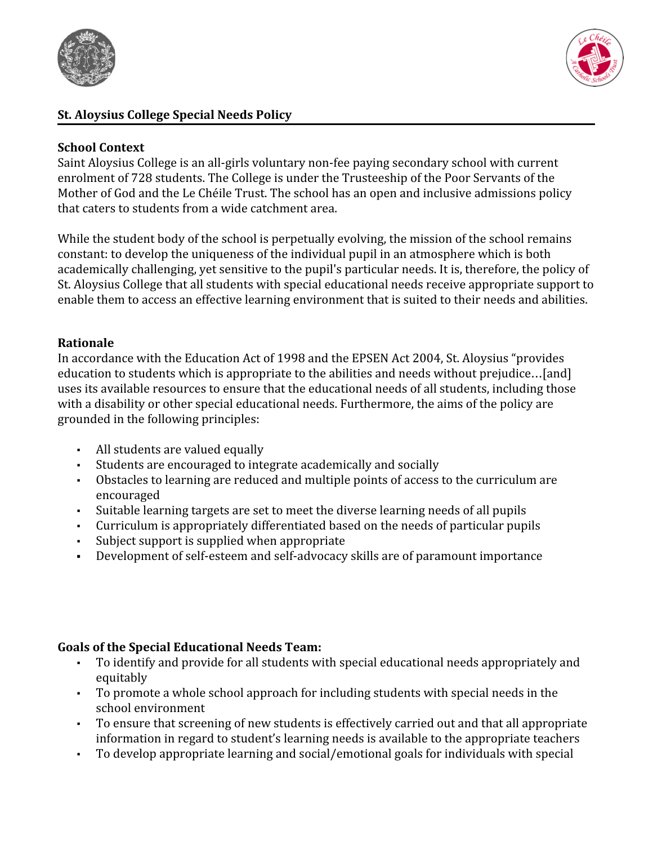



### **St. Aloysius College Special Needs Policy**

#### **School Context**

Saint Aloysius College is an all-girls voluntary non-fee paying secondary school with current enrolment of 728 students. The College is under the Trusteeship of the Poor Servants of the Mother of God and the Le Chéile Trust. The school has an open and inclusive admissions policy that caters to students from a wide catchment area.

While the student body of the school is perpetually evolving, the mission of the school remains constant: to develop the uniqueness of the individual pupil in an atmosphere which is both academically challenging, yet sensitive to the pupil's particular needs. It is, therefore, the policy of St. Aloysius College that all students with special educational needs receive appropriate support to enable them to access an effective learning environment that is suited to their needs and abilities.

#### **Rationale**

In accordance with the Education Act of 1998 and the EPSEN Act 2004, St. Aloysius "provides education to students which is appropriate to the abilities and needs without prejudice…[and] uses its available resources to ensure that the educational needs of all students, including those with a disability or other special educational needs. Furthermore, the aims of the policy are grounded in the following principles:

- All students are valued equally
- Students are encouraged to integrate academically and socially
- Obstacles to learning are reduced and multiple points of access to the curriculum are encouraged
- Suitable learning targets are set to meet the diverse learning needs of all pupils
- Curriculum is appropriately differentiated based on the needs of particular pupils
- Subject support is supplied when appropriate
- **▪** Development of self-esteem and self-advocacy skills are of paramount importance

### **Goals of the Special Educational Needs Team:**

- To identify and provide for all students with special educational needs appropriately and equitably
- To promote a whole school approach for including students with special needs in the school environment
- To ensure that screening of new students is effectively carried out and that all appropriate information in regard to student's learning needs is available to the appropriate teachers
- To develop appropriate learning and social/emotional goals for individuals with special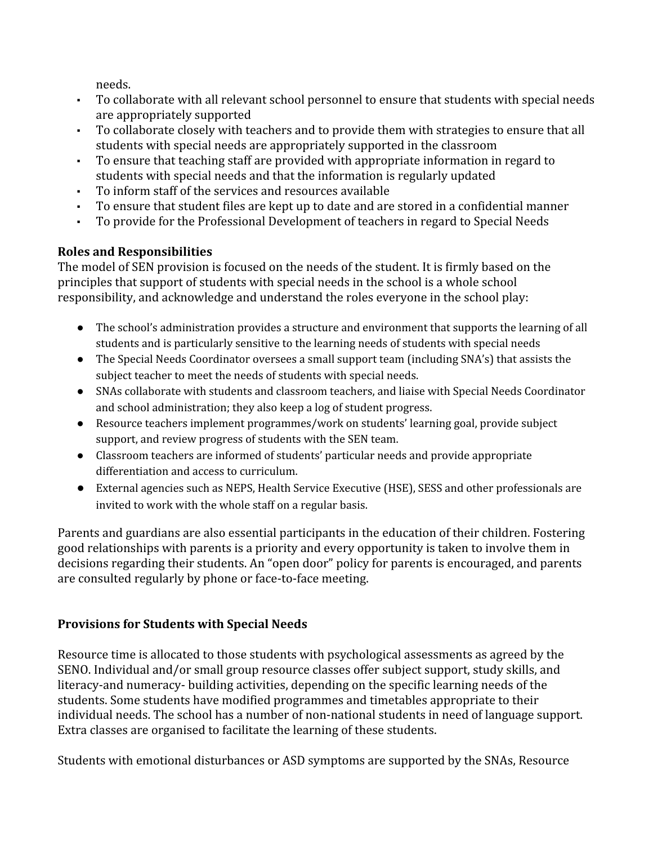needs.

- To collaborate with all relevant school personnel to ensure that students with special needs are appropriately supported
- To collaborate closely with teachers and to provide them with strategies to ensure that all students with special needs are appropriately supported in the classroom
- To ensure that teaching staff are provided with appropriate information in regard to students with special needs and that the information is regularly updated
- To inform staff of the services and resources available
- To ensure that student files are kept up to date and are stored in a confidential manner
- To provide for the Professional Development of teachers in regard to Special Needs

## **Roles and Responsibilities**

The model of SEN provision is focused on the needs of the student. It is firmly based on the principles that support of students with special needs in the school is a whole school responsibility, and acknowledge and understand the roles everyone in the school play:

- The school's administration provides a structure and environment that supports the learning of all students and is particularly sensitive to the learning needs of students with special needs
- The Special Needs Coordinator oversees a small support team (including SNA's) that assists the subject teacher to meet the needs of students with special needs.
- SNAs collaborate with students and classroom teachers, and liaise with Special Needs Coordinator and school administration; they also keep a log of student progress.
- Resource teachers implement programmes/work on students' learning goal, provide subject support, and review progress of students with the SEN team.
- Classroom teachers are informed of students' particular needs and provide appropriate differentiation and access to curriculum.
- External agencies such as NEPS, Health Service Executive (HSE), SESS and other professionals are invited to work with the whole staff on a regular basis.

Parents and guardians are also essential participants in the education of their children. Fostering good relationships with parents is a priority and every opportunity is taken to involve them in decisions regarding their students. An "open door" policy for parents is encouraged, and parents are consulted regularly by phone or face-to-face meeting.

# **Provisions for Students with Special Needs**

Resource time is allocated to those students with psychological assessments as agreed by the SENO. Individual and/or small group resource classes offer subject support, study skills, and literacy-and numeracy- building activities, depending on the specific learning needs of the students. Some students have modified programmes and timetables appropriate to their individual needs. The school has a number of non-national students in need of language support. Extra classes are organised to facilitate the learning of these students.

Students with emotional disturbances or ASD symptoms are supported by the SNAs, Resource